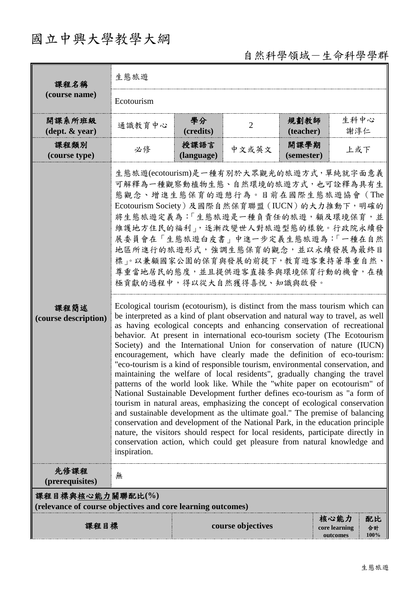# 國立中興大學教學大綱

## 自然科學領域-生命科學學群

| 課程名稱                                                                            | 生態旅遊                                                                                                                                                                                                                                                                                                                                                                                                                                                                                                                                                                                                                                                                                                                                                                                                                                                                                                                                                                                                                                                                                                                                                                                                                                                                                                                                                                                                                                                                                                                                                                                                                                               |                    |                   |                    |                                                       |  |  |
|---------------------------------------------------------------------------------|----------------------------------------------------------------------------------------------------------------------------------------------------------------------------------------------------------------------------------------------------------------------------------------------------------------------------------------------------------------------------------------------------------------------------------------------------------------------------------------------------------------------------------------------------------------------------------------------------------------------------------------------------------------------------------------------------------------------------------------------------------------------------------------------------------------------------------------------------------------------------------------------------------------------------------------------------------------------------------------------------------------------------------------------------------------------------------------------------------------------------------------------------------------------------------------------------------------------------------------------------------------------------------------------------------------------------------------------------------------------------------------------------------------------------------------------------------------------------------------------------------------------------------------------------------------------------------------------------------------------------------------------------|--------------------|-------------------|--------------------|-------------------------------------------------------|--|--|
| (course name)                                                                   | Ecotourism                                                                                                                                                                                                                                                                                                                                                                                                                                                                                                                                                                                                                                                                                                                                                                                                                                                                                                                                                                                                                                                                                                                                                                                                                                                                                                                                                                                                                                                                                                                                                                                                                                         |                    |                   |                    |                                                       |  |  |
| 開課系所班級<br>$(\text{dept.} \& \text{ year})$                                      | 通識教育中心                                                                                                                                                                                                                                                                                                                                                                                                                                                                                                                                                                                                                                                                                                                                                                                                                                                                                                                                                                                                                                                                                                                                                                                                                                                                                                                                                                                                                                                                                                                                                                                                                                             | 學分<br>(credits)    | $\overline{2}$    | 規劃教師<br>(teacher)  | 生科中心<br>謝淳仁                                           |  |  |
| 課程類別<br>(course type)                                                           | 必修                                                                                                                                                                                                                                                                                                                                                                                                                                                                                                                                                                                                                                                                                                                                                                                                                                                                                                                                                                                                                                                                                                                                                                                                                                                                                                                                                                                                                                                                                                                                                                                                                                                 | 授課語言<br>(language) | 中文或英文             | 開課學期<br>(semester) | 上或下                                                   |  |  |
| 課程簡述<br>(course description)                                                    | 生態旅遊(ecotourism)是一種有別於大眾觀光的旅遊方式,單純就字面意義<br>可解釋為一種觀察動植物生態、自然環境的旅遊方式,也可詮釋為具有生<br>態觀念、增進生態保育的遊憩行為。目前在國際生態旅遊協會 (The<br>Ecotourism Society)及國際自然保育聯盟 (IUCN) 的大力推動下, 明確的<br>將生態旅遊定義為:「生態旅遊是一種負責任的旅遊,顧及環境保育,並<br>維護地方住民的福利」,逐漸改變世人對旅遊型態的樣貌。行政院永續發<br>展委員會在「生態旅遊白皮書」中進一步定義生態旅遊為:「一種在自然<br>地區所進行的旅遊形式,強調生態保育的觀念,並以永續發展為最終目<br>標」。以兼顧國家公園的保育與發展的前提下,教育遊客秉持著尊重自然、<br>尊重當地居民的態度,並且提供遊客直接參與環境保育行動的機會,在積<br>極貢獻的過程中,得以從大自然獲得喜悅、知識與啟發。<br>Ecological tourism (ecotourism), is distinct from the mass tourism which can<br>be interpreted as a kind of plant observation and natural way to travel, as well<br>as having ecological concepts and enhancing conservation of recreational<br>behavior. At present in international eco-tourism society (The Ecotourism<br>Society) and the International Union for conservation of nature (IUCN)<br>encouragement, which have clearly made the definition of eco-tourism:<br>"eco-tourism is a kind of responsible tourism, environmental conservation, and<br>maintaining the welfare of local residents", gradually changing the travel<br>patterns of the world look like. While the "white paper on ecotourism" of<br>National Sustainable Development further defines eco-tourism as "a form of<br>tourism in natural areas, emphasizing the concept of ecological conservation<br>and sustainable development as the ultimate goal." The premise of balancing<br>conservation and development of the National Park, in the education principle<br>nature, the visitors should respect for local residents, participate directly in<br>conservation action, which could get pleasure from natural knowledge and |                    |                   |                    |                                                       |  |  |
| 先修課程<br>(prerequisites)                                                         | 無                                                                                                                                                                                                                                                                                                                                                                                                                                                                                                                                                                                                                                                                                                                                                                                                                                                                                                                                                                                                                                                                                                                                                                                                                                                                                                                                                                                                                                                                                                                                                                                                                                                  |                    |                   |                    |                                                       |  |  |
| 課程目標與核心能力關聯配比(%)<br>(relevance of course objectives and core learning outcomes) |                                                                                                                                                                                                                                                                                                                                                                                                                                                                                                                                                                                                                                                                                                                                                                                                                                                                                                                                                                                                                                                                                                                                                                                                                                                                                                                                                                                                                                                                                                                                                                                                                                                    |                    |                   |                    |                                                       |  |  |
| 課程目標                                                                            |                                                                                                                                                                                                                                                                                                                                                                                                                                                                                                                                                                                                                                                                                                                                                                                                                                                                                                                                                                                                                                                                                                                                                                                                                                                                                                                                                                                                                                                                                                                                                                                                                                                    |                    | course objectives |                    | 核心能力<br>配比<br>core learning<br>合計<br>100%<br>outcomes |  |  |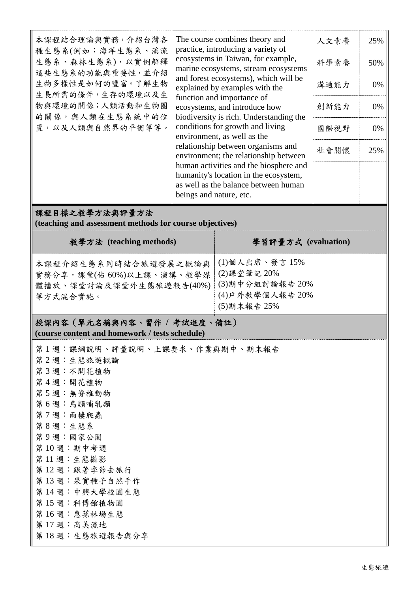| 本課程結合理論與實務, 介紹台灣各<br>種生態系(例如:海洋生態系、溪流<br>生態系、森林生態系),以實例解釋<br>這些生態系的功能與重要性,並介紹<br>生物多樣性是如何的豐富。了解生物<br>生長所需的條件,生存的環境以及生<br>物與環境的關係;人類活動和生物圈<br>的關係,與人類在生態系統中的位<br>置,以及人類與自然界的平衡等等。 | The course combines theory and<br>practice, introducing a variety of<br>ecosystems in Taiwan, for example,<br>marine ecosystems, stream ecosystems<br>and forest ecosystems), which will be<br>explained by examples with the<br>function and importance of<br>ecosystems, and introduce how<br>biodiversity is rich. Understanding the<br>conditions for growth and living<br>environment, as well as the<br>relationship between organisms and<br>environment; the relationship between<br>human activities and the biosphere and<br>humanity's location in the ecosystem,<br>as well as the balance between human<br>beings and nature, etc. |  | 人文素養<br>科學素養<br>溝通能力<br>創新能力<br>國際視野<br>社會關懷 | 25%<br>50%<br>0%<br>0%<br>0%<br>25% |  |  |  |
|----------------------------------------------------------------------------------------------------------------------------------------------------------------------------------|-------------------------------------------------------------------------------------------------------------------------------------------------------------------------------------------------------------------------------------------------------------------------------------------------------------------------------------------------------------------------------------------------------------------------------------------------------------------------------------------------------------------------------------------------------------------------------------------------------------------------------------------------|--|----------------------------------------------|-------------------------------------|--|--|--|
| 課程目標之教學方法與評量方法<br>(teaching and assessment methods for course objectives)                                                                                                        |                                                                                                                                                                                                                                                                                                                                                                                                                                                                                                                                                                                                                                                 |  |                                              |                                     |  |  |  |
| 教學方法 (teaching methods)                                                                                                                                                          | 學習評量方式 (evaluation)                                                                                                                                                                                                                                                                                                                                                                                                                                                                                                                                                                                                                             |  |                                              |                                     |  |  |  |
| 本課程介紹生態系同時結合旅遊發展之概論與<br>實務分享,課堂(佔60%)以上課、演講、教學媒<br>體播放、課堂討論及課堂外生態旅遊報告(40%)<br>等方式混合實施。                                                                                           | (1)個人出席、發言 15%<br>(2)課堂筆記 20%<br>(3)期中分組討論報告 20%<br>(4) 户外教學個人報告 20%                                                                                                                                                                                                                                                                                                                                                                                                                                                                                                                                                                            |  |                                              |                                     |  |  |  |

(5)期末報告 25%

### 授課內容(單元名稱與內容、習作 **/** 考試進度、備註) **(course content and homework / tests schedule)**

| 第1週:課綱說明、評量說明、上課要求、作業與期中、期末報告 |  |
|-------------------------------|--|
| 第2週:生態旅遊概論                    |  |
| 第3週:不開花植物                     |  |
| 第4週:開花植物                      |  |
| 第5週:無脊椎動物                     |  |
| 第6週:鳥類哺乳類                     |  |
| 第7週:兩棲爬蟲                      |  |
| 第8週:生態系                       |  |
| 第9週:國家公園                      |  |
| 第10週:期中考週                     |  |
| 第11週:生態攝影                     |  |
| 第12週:跟著季節去旅行                  |  |
| 第13週:果實種子自然手作                 |  |
| 第14週:中興大學校園生態                 |  |
| 第15週:科博館植物園                   |  |
| 第16週:惠蓀林場生態                   |  |
| 第17週:高美濕地                     |  |
| 第18週:生態旅遊報告與分享                |  |
|                               |  |